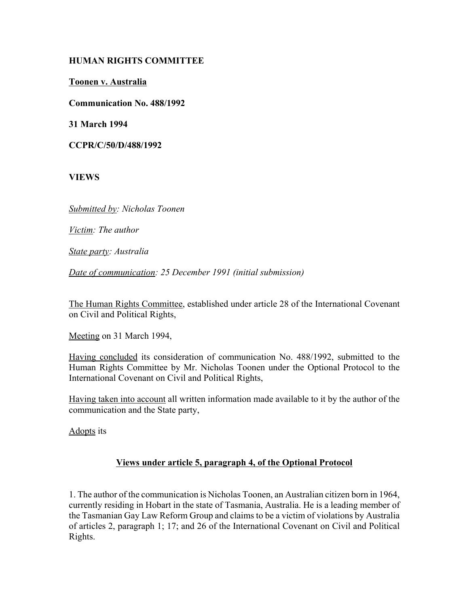# **HUMAN RIGHTS COMMITTEE**

**Toonen v. Australia**

**Communication No. 488/1992**

**31 March 1994**

**CCPR/C/50/D/488/1992**

**VIEWS**

*Submitted by: Nicholas Toonen* 

*Victim: The author* 

*State party: Australia* 

*Date of communication: 25 December 1991 (initial submission)*

The Human Rights Committee, established under article 28 of the International Covenant on Civil and Political Rights,

Meeting on 31 March 1994,

Having concluded its consideration of communication No. 488/1992, submitted to the Human Rights Committee by Mr. Nicholas Toonen under the Optional Protocol to the International Covenant on Civil and Political Rights,

Having taken into account all written information made available to it by the author of the communication and the State party,

Adopts its

#### **Views under article 5, paragraph 4, of the Optional Protocol**

1. The author of the communication is Nicholas Toonen, an Australian citizen born in 1964, currently residing in Hobart in the state of Tasmania, Australia. He is a leading member of the Tasmanian Gay Law Reform Group and claims to be a victim of violations by Australia of articles 2, paragraph 1; 17; and 26 of the International Covenant on Civil and Political Rights.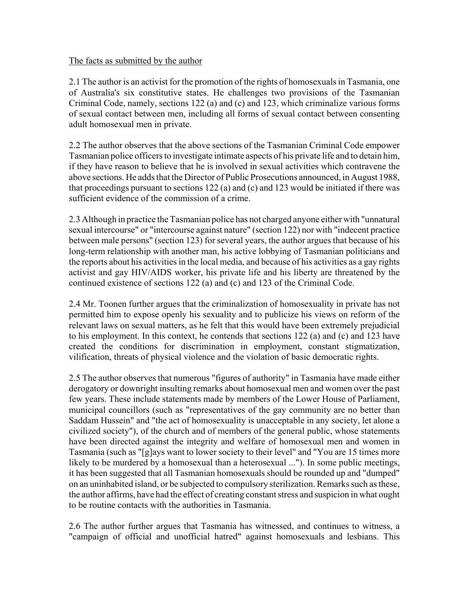## The facts as submitted by the author

2.1 The author is an activist for the promotion of the rights of homosexuals in Tasmania, one of Australia's six constitutive states. He challenges two provisions of the Tasmanian Criminal Code, namely, sections 122 (a) and (c) and 123, which criminalize various forms of sexual contact between men, including all forms of sexual contact between consenting adult homosexual men in private.

2.2 The author observes that the above sections of the Tasmanian Criminal Code empower Tasmanian police officers to investigate intimate aspects of his private life and to detain him, if they have reason to believe that he is involved in sexual activities which contravene the above sections. He adds that the Director of Public Prosecutions announced, in August 1988, that proceedings pursuant to sections 122 (a) and (c) and 123 would be initiated if there was sufficient evidence of the commission of a crime.

2.3 Although in practice the Tasmanian police has not charged anyone either with "unnatural sexual intercourse" or "intercourse against nature" (section 122) nor with "indecent practice between male persons" (section 123) for several years, the author argues that because of his long-term relationship with another man, his active lobbying of Tasmanian politicians and the reports about his activities in the local media, and because of his activities as a gay rights activist and gay HIV/AIDS worker, his private life and his liberty are threatened by the continued existence of sections 122 (a) and (c) and 123 of the Criminal Code.

2.4 Mr. Toonen further argues that the criminalization of homosexuality in private has not permitted him to expose openly his sexuality and to publicize his views on reform of the relevant laws on sexual matters, as he felt that this would have been extremely prejudicial to his employment. In this context, he contends that sections 122 (a) and (c) and 123 have created the conditions for discrimination in employment, constant stigmatization, vilification, threats of physical violence and the violation of basic democratic rights.

2.5 The author observes that numerous "figures of authority" in Tasmania have made either derogatory or downright insulting remarks about homosexual men and women over the past few years. These include statements made by members of the Lower House of Parliament, municipal councillors (such as "representatives of the gay community are no better than Saddam Hussein" and "the act of homosexuality is unacceptable in any society, let alone a civilized society"), of the church and of members of the general public, whose statements have been directed against the integrity and welfare of homosexual men and women in Tasmania (such as "[g]ays want to lower society to their level" and "You are 15 times more likely to be murdered by a homosexual than a heterosexual ..."). In some public meetings, it has been suggested that all Tasmanian homosexuals should be rounded up and "dumped" on an uninhabited island, or be subjected to compulsory sterilization. Remarks such as these, the author affirms, have had the effect of creating constant stress and suspicion in what ought to be routine contacts with the authorities in Tasmania.

2.6 The author further argues that Tasmania has witnessed, and continues to witness, a "campaign of official and unofficial hatred" against homosexuals and lesbians. This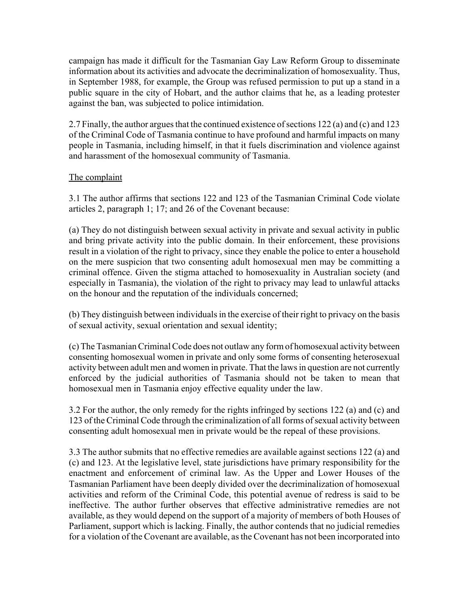campaign has made it difficult for the Tasmanian Gay Law Reform Group to disseminate information about its activities and advocate the decriminalization of homosexuality. Thus, in September 1988, for example, the Group was refused permission to put up a stand in a public square in the city of Hobart, and the author claims that he, as a leading protester against the ban, was subjected to police intimidation.

2.7 Finally, the author argues that the continued existence of sections 122 (a) and (c) and 123 of the Criminal Code of Tasmania continue to have profound and harmful impacts on many people in Tasmania, including himself, in that it fuels discrimination and violence against and harassment of the homosexual community of Tasmania.

# The complaint

3.1 The author affirms that sections 122 and 123 of the Tasmanian Criminal Code violate articles 2, paragraph 1; 17; and 26 of the Covenant because:

(a) They do not distinguish between sexual activity in private and sexual activity in public and bring private activity into the public domain. In their enforcement, these provisions result in a violation of the right to privacy, since they enable the police to enter a household on the mere suspicion that two consenting adult homosexual men may be committing a criminal offence. Given the stigma attached to homosexuality in Australian society (and especially in Tasmania), the violation of the right to privacy may lead to unlawful attacks on the honour and the reputation of the individuals concerned;

(b) They distinguish between individuals in the exercise of their right to privacy on the basis of sexual activity, sexual orientation and sexual identity;

(c) The Tasmanian Criminal Code does not outlaw any form of homosexual activity between consenting homosexual women in private and only some forms of consenting heterosexual activity between adult men and women in private. That the laws in question are not currently enforced by the judicial authorities of Tasmania should not be taken to mean that homosexual men in Tasmania enjoy effective equality under the law.

3.2 For the author, the only remedy for the rights infringed by sections 122 (a) and (c) and 123 of the Criminal Code through the criminalization of all forms of sexual activity between consenting adult homosexual men in private would be the repeal of these provisions.

3.3 The author submits that no effective remedies are available against sections 122 (a) and (c) and 123. At the legislative level, state jurisdictions have primary responsibility for the enactment and enforcement of criminal law. As the Upper and Lower Houses of the Tasmanian Parliament have been deeply divided over the decriminalization of homosexual activities and reform of the Criminal Code, this potential avenue of redress is said to be ineffective. The author further observes that effective administrative remedies are not available, as they would depend on the support of a majority of members of both Houses of Parliament, support which is lacking. Finally, the author contends that no judicial remedies for a violation of the Covenant are available, as the Covenant has not been incorporated into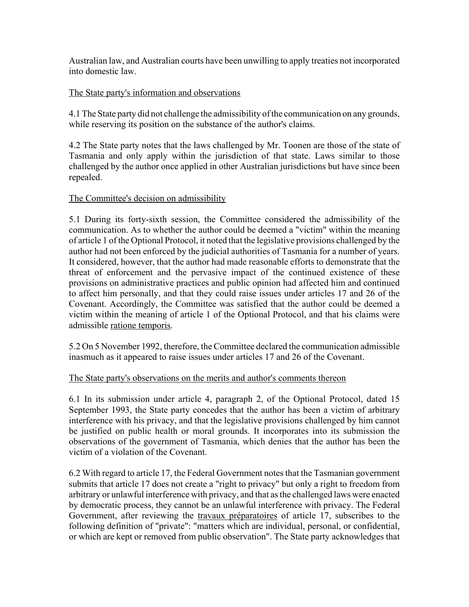Australian law, and Australian courts have been unwilling to apply treaties not incorporated into domestic law.

## The State party's information and observations

4.1 The State party did not challenge the admissibility of the communication on any grounds, while reserving its position on the substance of the author's claims.

4.2 The State party notes that the laws challenged by Mr. Toonen are those of the state of Tasmania and only apply within the jurisdiction of that state. Laws similar to those challenged by the author once applied in other Australian jurisdictions but have since been repealed.

## The Committee's decision on admissibility

5.1 During its forty-sixth session, the Committee considered the admissibility of the communication. As to whether the author could be deemed a "victim" within the meaning of article 1 of the Optional Protocol, it noted that the legislative provisions challenged by the author had not been enforced by the judicial authorities of Tasmania for a number of years. It considered, however, that the author had made reasonable efforts to demonstrate that the threat of enforcement and the pervasive impact of the continued existence of these provisions on administrative practices and public opinion had affected him and continued to affect him personally, and that they could raise issues under articles 17 and 26 of the Covenant. Accordingly, the Committee was satisfied that the author could be deemed a victim within the meaning of article 1 of the Optional Protocol, and that his claims were admissible ratione temporis.

5.2 On 5 November 1992, therefore, the Committee declared the communication admissible inasmuch as it appeared to raise issues under articles 17 and 26 of the Covenant.

#### The State party's observations on the merits and author's comments thereon

6.1 In its submission under article 4, paragraph 2, of the Optional Protocol, dated 15 September 1993, the State party concedes that the author has been a victim of arbitrary interference with his privacy, and that the legislative provisions challenged by him cannot be justified on public health or moral grounds. It incorporates into its submission the observations of the government of Tasmania, which denies that the author has been the victim of a violation of the Covenant.

6.2 With regard to article 17, the Federal Government notes that the Tasmanian government submits that article 17 does not create a "right to privacy" but only a right to freedom from arbitrary or unlawful interference with privacy, and that as the challenged laws were enacted by democratic process, they cannot be an unlawful interference with privacy. The Federal Government, after reviewing the travaux préparatoires of article 17, subscribes to the following definition of "private": "matters which are individual, personal, or confidential, or which are kept or removed from public observation". The State party acknowledges that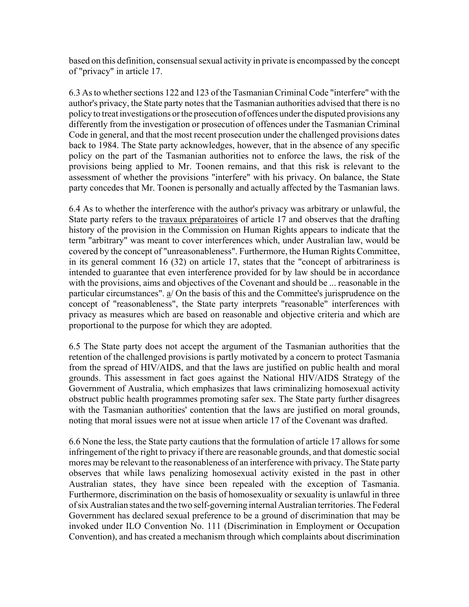based on this definition, consensual sexual activity in private is encompassed by the concept of "privacy" in article 17.

6.3 As to whether sections 122 and 123 of the Tasmanian Criminal Code "interfere" with the author's privacy, the State party notes that the Tasmanian authorities advised that there is no policy to treat investigations or the prosecution of offences under the disputed provisions any differently from the investigation or prosecution of offences under the Tasmanian Criminal Code in general, and that the most recent prosecution under the challenged provisions dates back to 1984. The State party acknowledges, however, that in the absence of any specific policy on the part of the Tasmanian authorities not to enforce the laws, the risk of the provisions being applied to Mr. Toonen remains, and that this risk is relevant to the assessment of whether the provisions "interfere" with his privacy. On balance, the State party concedes that Mr. Toonen is personally and actually affected by the Tasmanian laws.

6.4 As to whether the interference with the author's privacy was arbitrary or unlawful, the State party refers to the travaux préparatoires of article 17 and observes that the drafting history of the provision in the Commission on Human Rights appears to indicate that the term "arbitrary" was meant to cover interferences which, under Australian law, would be covered by the concept of "unreasonableness". Furthermore, the Human Rights Committee, in its general comment 16 (32) on article 17, states that the "concept of arbitrariness is intended to guarantee that even interference provided for by law should be in accordance with the provisions, aims and objectives of the Covenant and should be ... reasonable in the particular circumstances". a/ On the basis of this and the Committee's jurisprudence on the concept of "reasonableness", the State party interprets "reasonable" interferences with privacy as measures which are based on reasonable and objective criteria and which are proportional to the purpose for which they are adopted.

6.5 The State party does not accept the argument of the Tasmanian authorities that the retention of the challenged provisions is partly motivated by a concern to protect Tasmania from the spread of HIV/AIDS, and that the laws are justified on public health and moral grounds. This assessment in fact goes against the National HIV/AIDS Strategy of the Government of Australia, which emphasizes that laws criminalizing homosexual activity obstruct public health programmes promoting safer sex. The State party further disagrees with the Tasmanian authorities' contention that the laws are justified on moral grounds, noting that moral issues were not at issue when article 17 of the Covenant was drafted.

6.6 None the less, the State party cautions that the formulation of article 17 allows for some infringement of the right to privacy if there are reasonable grounds, and that domestic social mores may be relevant to the reasonableness of an interference with privacy. The State party observes that while laws penalizing homosexual activity existed in the past in other Australian states, they have since been repealed with the exception of Tasmania. Furthermore, discrimination on the basis of homosexuality or sexuality is unlawful in three of six Australian states and the two self-governing internal Australian territories. The Federal Government has declared sexual preference to be a ground of discrimination that may be invoked under ILO Convention No. 111 (Discrimination in Employment or Occupation Convention), and has created a mechanism through which complaints about discrimination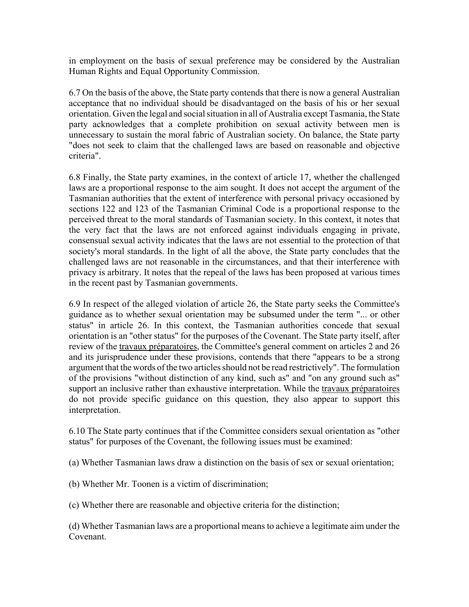in employment on the basis of sexual preference may be considered by the Australian Human Rights and Equal Opportunity Commission.

6.7 On the basis of the above, the State party contends that there is now a general Australian acceptance that no individual should be disadvantaged on the basis of his or her sexual orientation. Given the legal and social situation in all of Australia except Tasmania, the State party acknowledges that a complete prohibition on sexual activity between men is unnecessary to sustain the moral fabric of Australian society. On balance, the State party "does not seek to claim that the challenged laws are based on reasonable and objective criteria".

6.8 Finally, the State party examines, in the context of article 17, whether the challenged laws are a proportional response to the aim sought. It does not accept the argument of the Tasmanian authorities that the extent of interference with personal privacy occasioned by sections 122 and 123 of the Tasmanian Criminal Code is a proportional response to the perceived threat to the moral standards of Tasmanian society. In this context, it notes that the very fact that the laws are not enforced against individuals engaging in private, consensual sexual activity indicates that the laws are not essential to the protection of that society's moral standards. In the light of all the above, the State party concludes that the challenged laws are not reasonable in the circumstances, and that their interference with privacy is arbitrary. It notes that the repeal of the laws has been proposed at various times in the recent past by Tasmanian governments.

6.9 In respect of the alleged violation of article 26, the State party seeks the Committee's guidance as to whether sexual orientation may be subsumed under the term "... or other status" in article 26. In this context, the Tasmanian authorities concede that sexual orientation is an "other status" for the purposes of the Covenant. The State party itself, after review of the travaux préparatoires, the Committee's general comment on articles 2 and 26 and its jurisprudence under these provisions, contends that there "appears to be a strong argument that the words of the two articles should not be read restrictively". The formulation of the provisions "without distinction of any kind, such as" and "on any ground such as" support an inclusive rather than exhaustive interpretation. While the travaux préparatoires do not provide specific guidance on this question, they also appear to support this interpretation.

6.10 The State party continues that if the Committee considers sexual orientation as "other status" for purposes of the Covenant, the following issues must be examined:

(a) Whether Tasmanian laws draw a distinction on the basis of sex or sexual orientation;

(b) Whether Mr. Toonen is a victim of discrimination;

(c) Whether there are reasonable and objective criteria for the distinction;

(d) Whether Tasmanian laws are a proportional means to achieve a legitimate aim under the Covenant.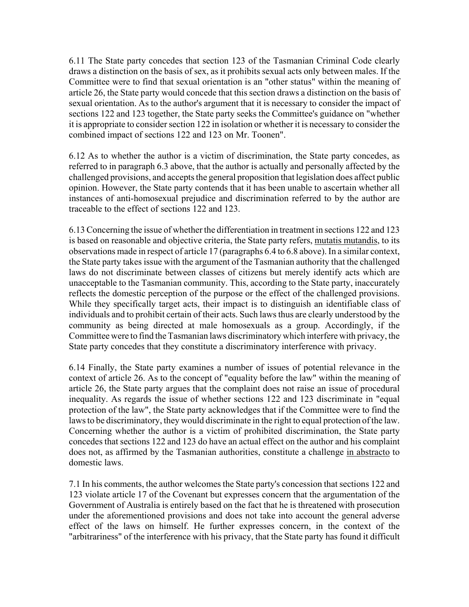6.11 The State party concedes that section 123 of the Tasmanian Criminal Code clearly draws a distinction on the basis of sex, as it prohibits sexual acts only between males. If the Committee were to find that sexual orientation is an "other status" within the meaning of article 26, the State party would concede that this section draws a distinction on the basis of sexual orientation. As to the author's argument that it is necessary to consider the impact of sections 122 and 123 together, the State party seeks the Committee's guidance on "whether it is appropriate to consider section 122 in isolation or whether it is necessary to consider the combined impact of sections 122 and 123 on Mr. Toonen".

6.12 As to whether the author is a victim of discrimination, the State party concedes, as referred to in paragraph 6.3 above, that the author is actually and personally affected by the challenged provisions, and accepts the general proposition that legislation does affect public opinion. However, the State party contends that it has been unable to ascertain whether all instances of anti-homosexual prejudice and discrimination referred to by the author are traceable to the effect of sections 122 and 123.

6.13 Concerning the issue of whether the differentiation in treatment in sections 122 and 123 is based on reasonable and objective criteria, the State party refers, mutatis mutandis, to its observations made in respect of article 17 (paragraphs 6.4 to 6.8 above). In a similar context, the State party takes issue with the argument of the Tasmanian authority that the challenged laws do not discriminate between classes of citizens but merely identify acts which are unacceptable to the Tasmanian community. This, according to the State party, inaccurately reflects the domestic perception of the purpose or the effect of the challenged provisions. While they specifically target acts, their impact is to distinguish an identifiable class of individuals and to prohibit certain of their acts. Such laws thus are clearly understood by the community as being directed at male homosexuals as a group. Accordingly, if the Committee were to find the Tasmanian laws discriminatory which interfere with privacy, the State party concedes that they constitute a discriminatory interference with privacy.

6.14 Finally, the State party examines a number of issues of potential relevance in the context of article 26. As to the concept of "equality before the law" within the meaning of article 26, the State party argues that the complaint does not raise an issue of procedural inequality. As regards the issue of whether sections 122 and 123 discriminate in "equal protection of the law", the State party acknowledges that if the Committee were to find the laws to be discriminatory, they would discriminate in the right to equal protection of the law. Concerning whether the author is a victim of prohibited discrimination, the State party concedes that sections 122 and 123 do have an actual effect on the author and his complaint does not, as affirmed by the Tasmanian authorities, constitute a challenge in abstracto to domestic laws.

7.1 In his comments, the author welcomes the State party's concession that sections 122 and 123 violate article 17 of the Covenant but expresses concern that the argumentation of the Government of Australia is entirely based on the fact that he is threatened with prosecution under the aforementioned provisions and does not take into account the general adverse effect of the laws on himself. He further expresses concern, in the context of the "arbitrariness" of the interference with his privacy, that the State party has found it difficult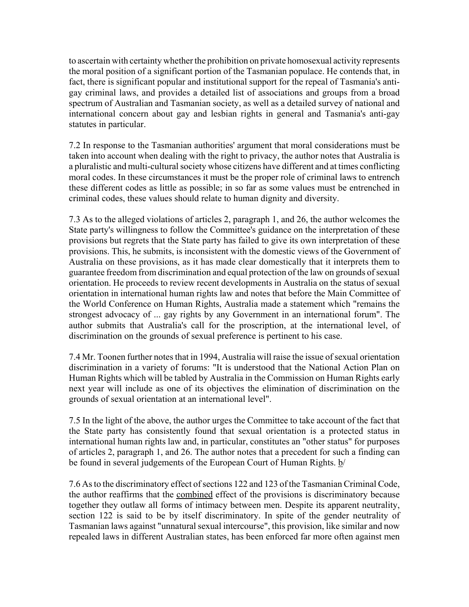to ascertain with certainty whether the prohibition on private homosexual activity represents the moral position of a significant portion of the Tasmanian populace. He contends that, in fact, there is significant popular and institutional support for the repeal of Tasmania's antigay criminal laws, and provides a detailed list of associations and groups from a broad spectrum of Australian and Tasmanian society, as well as a detailed survey of national and international concern about gay and lesbian rights in general and Tasmania's anti-gay statutes in particular.

7.2 In response to the Tasmanian authorities' argument that moral considerations must be taken into account when dealing with the right to privacy, the author notes that Australia is a pluralistic and multi-cultural society whose citizens have different and at times conflicting moral codes. In these circumstances it must be the proper role of criminal laws to entrench these different codes as little as possible; in so far as some values must be entrenched in criminal codes, these values should relate to human dignity and diversity.

7.3 As to the alleged violations of articles 2, paragraph 1, and 26, the author welcomes the State party's willingness to follow the Committee's guidance on the interpretation of these provisions but regrets that the State party has failed to give its own interpretation of these provisions. This, he submits, is inconsistent with the domestic views of the Government of Australia on these provisions, as it has made clear domestically that it interprets them to guarantee freedom from discrimination and equal protection of the law on grounds of sexual orientation. He proceeds to review recent developments in Australia on the status of sexual orientation in international human rights law and notes that before the Main Committee of the World Conference on Human Rights, Australia made a statement which "remains the strongest advocacy of ... gay rights by any Government in an international forum". The author submits that Australia's call for the proscription, at the international level, of discrimination on the grounds of sexual preference is pertinent to his case.

7.4 Mr. Toonen further notes that in 1994, Australia will raise the issue of sexual orientation discrimination in a variety of forums: "It is understood that the National Action Plan on Human Rights which will be tabled by Australia in the Commission on Human Rights early next year will include as one of its objectives the elimination of discrimination on the grounds of sexual orientation at an international level".

7.5 In the light of the above, the author urges the Committee to take account of the fact that the State party has consistently found that sexual orientation is a protected status in international human rights law and, in particular, constitutes an "other status" for purposes of articles 2, paragraph 1, and 26. The author notes that a precedent for such a finding can be found in several judgements of the European Court of Human Rights. b/

7.6 As to the discriminatory effect of sections 122 and 123 of the Tasmanian Criminal Code, the author reaffirms that the combined effect of the provisions is discriminatory because together they outlaw all forms of intimacy between men. Despite its apparent neutrality, section 122 is said to be by itself discriminatory. In spite of the gender neutrality of Tasmanian laws against "unnatural sexual intercourse", this provision, like similar and now repealed laws in different Australian states, has been enforced far more often against men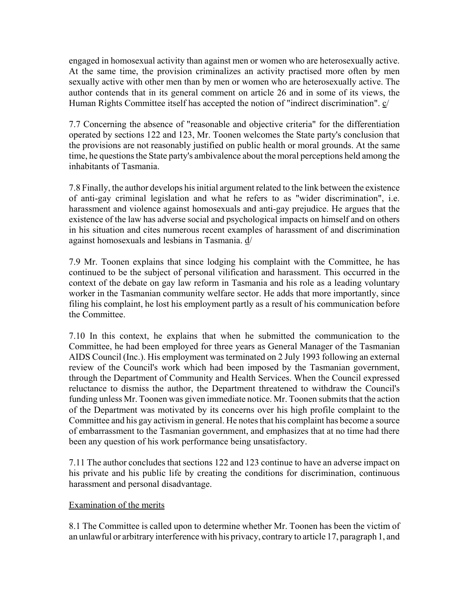engaged in homosexual activity than against men or women who are heterosexually active. At the same time, the provision criminalizes an activity practised more often by men sexually active with other men than by men or women who are heterosexually active. The author contends that in its general comment on article 26 and in some of its views, the Human Rights Committee itself has accepted the notion of "indirect discrimination". c/

7.7 Concerning the absence of "reasonable and objective criteria" for the differentiation operated by sections 122 and 123, Mr. Toonen welcomes the State party's conclusion that the provisions are not reasonably justified on public health or moral grounds. At the same time, he questions the State party's ambivalence about the moral perceptions held among the inhabitants of Tasmania.

7.8 Finally, the author develops his initial argument related to the link between the existence of anti-gay criminal legislation and what he refers to as "wider discrimination", i.e. harassment and violence against homosexuals and anti-gay prejudice. He argues that the existence of the law has adverse social and psychological impacts on himself and on others in his situation and cites numerous recent examples of harassment of and discrimination against homosexuals and lesbians in Tasmania. d/

7.9 Mr. Toonen explains that since lodging his complaint with the Committee, he has continued to be the subject of personal vilification and harassment. This occurred in the context of the debate on gay law reform in Tasmania and his role as a leading voluntary worker in the Tasmanian community welfare sector. He adds that more importantly, since filing his complaint, he lost his employment partly as a result of his communication before the Committee.

7.10 In this context, he explains that when he submitted the communication to the Committee, he had been employed for three years as General Manager of the Tasmanian AIDS Council (Inc.). His employment was terminated on 2 July 1993 following an external review of the Council's work which had been imposed by the Tasmanian government, through the Department of Community and Health Services. When the Council expressed reluctance to dismiss the author, the Department threatened to withdraw the Council's funding unless Mr. Toonen was given immediate notice. Mr. Toonen submits that the action of the Department was motivated by its concerns over his high profile complaint to the Committee and his gay activism in general. He notes that his complaint has become a source of embarrassment to the Tasmanian government, and emphasizes that at no time had there been any question of his work performance being unsatisfactory.

7.11 The author concludes that sections 122 and 123 continue to have an adverse impact on his private and his public life by creating the conditions for discrimination, continuous harassment and personal disadvantage.

#### Examination of the merits

8.1 The Committee is called upon to determine whether Mr. Toonen has been the victim of an unlawful or arbitrary interference with his privacy, contrary to article 17, paragraph 1, and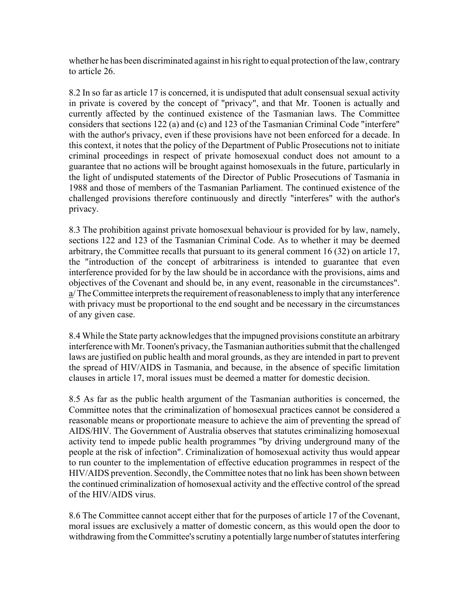whether he has been discriminated against in his right to equal protection of the law, contrary to article 26.

8.2 In so far as article 17 is concerned, it is undisputed that adult consensual sexual activity in private is covered by the concept of "privacy", and that Mr. Toonen is actually and currently affected by the continued existence of the Tasmanian laws. The Committee considers that sections 122 (a) and (c) and 123 of the Tasmanian Criminal Code "interfere" with the author's privacy, even if these provisions have not been enforced for a decade. In this context, it notes that the policy of the Department of Public Prosecutions not to initiate criminal proceedings in respect of private homosexual conduct does not amount to a guarantee that no actions will be brought against homosexuals in the future, particularly in the light of undisputed statements of the Director of Public Prosecutions of Tasmania in 1988 and those of members of the Tasmanian Parliament. The continued existence of the challenged provisions therefore continuously and directly "interferes" with the author's privacy.

8.3 The prohibition against private homosexual behaviour is provided for by law, namely, sections 122 and 123 of the Tasmanian Criminal Code. As to whether it may be deemed arbitrary, the Committee recalls that pursuant to its general comment 16 (32) on article 17, the "introduction of the concept of arbitrariness is intended to guarantee that even interference provided for by the law should be in accordance with the provisions, aims and objectives of the Covenant and should be, in any event, reasonable in the circumstances". a/ The Committee interprets the requirement of reasonableness to imply that any interference with privacy must be proportional to the end sought and be necessary in the circumstances of any given case.

8.4 While the State party acknowledges that the impugned provisions constitute an arbitrary interference with Mr. Toonen's privacy, the Tasmanian authorities submit that the challenged laws are justified on public health and moral grounds, as they are intended in part to prevent the spread of HIV/AIDS in Tasmania, and because, in the absence of specific limitation clauses in article 17, moral issues must be deemed a matter for domestic decision.

8.5 As far as the public health argument of the Tasmanian authorities is concerned, the Committee notes that the criminalization of homosexual practices cannot be considered a reasonable means or proportionate measure to achieve the aim of preventing the spread of AIDS/HIV. The Government of Australia observes that statutes criminalizing homosexual activity tend to impede public health programmes "by driving underground many of the people at the risk of infection". Criminalization of homosexual activity thus would appear to run counter to the implementation of effective education programmes in respect of the HIV/AIDS prevention. Secondly, the Committee notes that no link has been shown between the continued criminalization of homosexual activity and the effective control of the spread of the HIV/AIDS virus.

8.6 The Committee cannot accept either that for the purposes of article 17 of the Covenant, moral issues are exclusively a matter of domestic concern, as this would open the door to withdrawing from the Committee's scrutiny a potentially large number of statutes interfering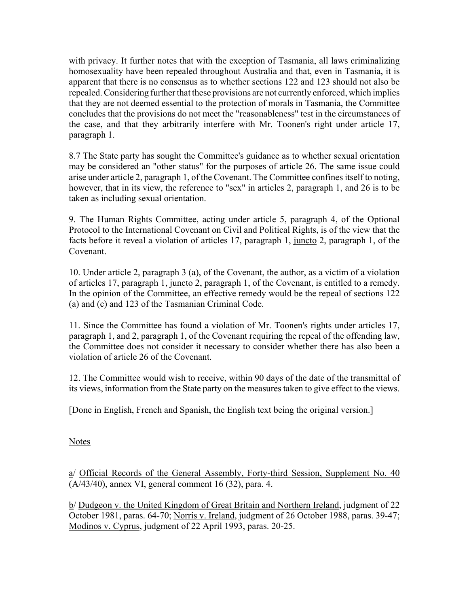with privacy. It further notes that with the exception of Tasmania, all laws criminalizing homosexuality have been repealed throughout Australia and that, even in Tasmania, it is apparent that there is no consensus as to whether sections 122 and 123 should not also be repealed. Considering further that these provisions are not currently enforced, which implies that they are not deemed essential to the protection of morals in Tasmania, the Committee concludes that the provisions do not meet the "reasonableness" test in the circumstances of the case, and that they arbitrarily interfere with Mr. Toonen's right under article 17, paragraph 1.

8.7 The State party has sought the Committee's guidance as to whether sexual orientation may be considered an "other status" for the purposes of article 26. The same issue could arise under article 2, paragraph 1, of the Covenant. The Committee confines itself to noting, however, that in its view, the reference to "sex" in articles 2, paragraph 1, and 26 is to be taken as including sexual orientation.

9. The Human Rights Committee, acting under article 5, paragraph 4, of the Optional Protocol to the International Covenant on Civil and Political Rights, is of the view that the facts before it reveal a violation of articles 17, paragraph 1, juncto 2, paragraph 1, of the Covenant.

10. Under article 2, paragraph 3 (a), of the Covenant, the author, as a victim of a violation of articles 17, paragraph 1, juncto 2, paragraph 1, of the Covenant, is entitled to a remedy. In the opinion of the Committee, an effective remedy would be the repeal of sections 122 (a) and (c) and 123 of the Tasmanian Criminal Code.

11. Since the Committee has found a violation of Mr. Toonen's rights under articles 17, paragraph 1, and 2, paragraph 1, of the Covenant requiring the repeal of the offending law, the Committee does not consider it necessary to consider whether there has also been a violation of article 26 of the Covenant.

12. The Committee would wish to receive, within 90 days of the date of the transmittal of its views, information from the State party on the measures taken to give effect to the views.

[Done in English, French and Spanish, the English text being the original version.]

Notes

a/ Official Records of the General Assembly, Forty-third Session, Supplement No. 40 (A/43/40), annex VI, general comment 16 (32), para. 4.

b/ Dudgeon v. the United Kingdom of Great Britain and Northern Ireland, judgment of 22 October 1981, paras. 64-70; Norris v. Ireland, judgment of 26 October 1988, paras. 39-47; Modinos v. Cyprus, judgment of 22 April 1993, paras. 20-25.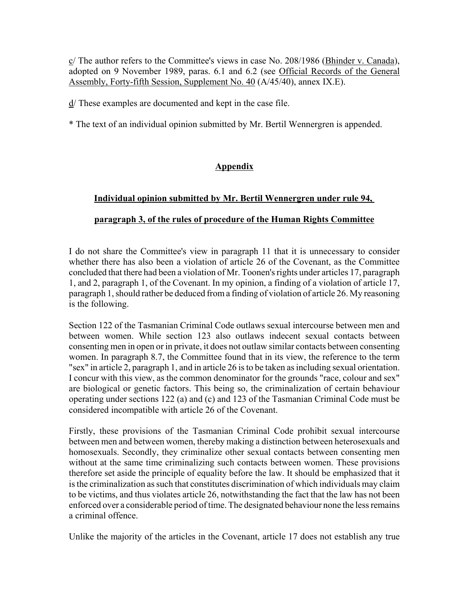c/ The author refers to the Committee's views in case No. 208/1986 (Bhinder v. Canada), adopted on 9 November 1989, paras. 6.1 and 6.2 (see Official Records of the General Assembly, Forty-fifth Session, Supplement No. 40 (A/45/40), annex IX.E).

d/ These examples are documented and kept in the case file.

\* The text of an individual opinion submitted by Mr. Bertil Wennergren is appended.

# **Appendix**

# **Individual opinion submitted by Mr. Bertil Wennergren under rule 94,**

## **paragraph 3, of the rules of procedure of the Human Rights Committee**

I do not share the Committee's view in paragraph 11 that it is unnecessary to consider whether there has also been a violation of article 26 of the Covenant, as the Committee concluded that there had been a violation of Mr. Toonen's rights under articles 17, paragraph 1, and 2, paragraph 1, of the Covenant. In my opinion, a finding of a violation of article 17, paragraph 1, should rather be deduced from a finding of violation of article 26. My reasoning is the following.

Section 122 of the Tasmanian Criminal Code outlaws sexual intercourse between men and between women. While section 123 also outlaws indecent sexual contacts between consenting men in open or in private, it does not outlaw similar contacts between consenting women. In paragraph 8.7, the Committee found that in its view, the reference to the term "sex" in article 2, paragraph 1, and in article 26 is to be taken as including sexual orientation. I concur with this view, as the common denominator for the grounds "race, colour and sex" are biological or genetic factors. This being so, the criminalization of certain behaviour operating under sections 122 (a) and (c) and 123 of the Tasmanian Criminal Code must be considered incompatible with article 26 of the Covenant.

Firstly, these provisions of the Tasmanian Criminal Code prohibit sexual intercourse between men and between women, thereby making a distinction between heterosexuals and homosexuals. Secondly, they criminalize other sexual contacts between consenting men without at the same time criminalizing such contacts between women. These provisions therefore set aside the principle of equality before the law. It should be emphasized that it is the criminalization as such that constitutes discrimination of which individuals may claim to be victims, and thus violates article 26, notwithstanding the fact that the law has not been enforced over a considerable period of time. The designated behaviour none the less remains a criminal offence.

Unlike the majority of the articles in the Covenant, article 17 does not establish any true